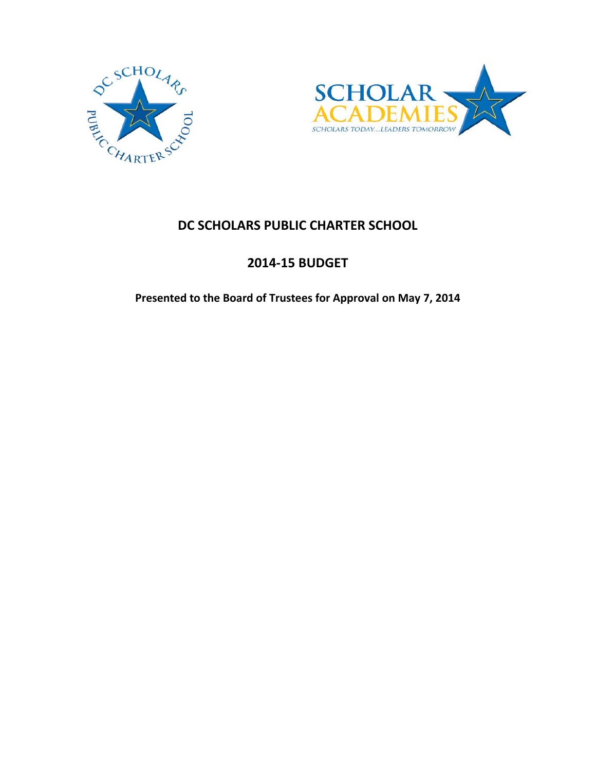



## **DC SCHOLARS PUBLIC CHARTER SCHOOL**

## **2014-15 BUDGET**

**Presented to the Board of Trustees for Approval on May 7, 2014**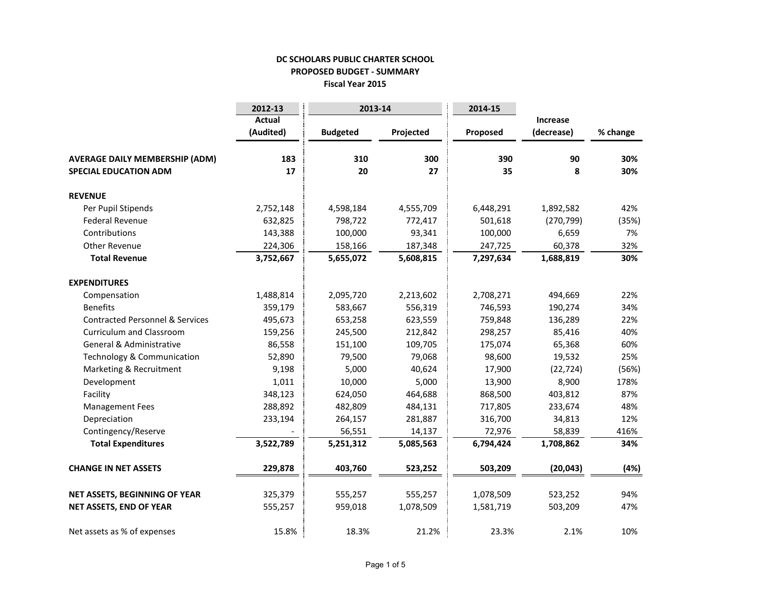## **DC SCHOLARS PUBLIC CHARTER SCHOOL PROPOSED BUDGET - SUMMARY Fiscal Year 2015**

|                                            | 2012-13       | 2013-14         |           | 2014-15   |                 |          |  |
|--------------------------------------------|---------------|-----------------|-----------|-----------|-----------------|----------|--|
|                                            | <b>Actual</b> |                 |           |           | <b>Increase</b> |          |  |
|                                            | (Audited)     | <b>Budgeted</b> | Projected | Proposed  | (decrease)      | % change |  |
| <b>AVERAGE DAILY MEMBERSHIP (ADM)</b>      | 183           | 310             | 300       | 390       | 90              | 30%      |  |
| <b>SPECIAL EDUCATION ADM</b>               | 17            | 20              | 27        | 35        | 8               | 30%      |  |
| <b>REVENUE</b>                             |               |                 |           |           |                 |          |  |
| Per Pupil Stipends                         | 2,752,148     | 4,598,184       | 4,555,709 | 6,448,291 | 1,892,582       | 42%      |  |
| <b>Federal Revenue</b>                     | 632,825       | 798,722         | 772,417   | 501,618   | (270, 799)      | (35%)    |  |
| Contributions                              | 143,388       | 100,000         | 93,341    | 100,000   | 6,659           | 7%       |  |
| Other Revenue                              | 224,306       | 158,166         | 187,348   | 247,725   | 60,378          | 32%      |  |
| <b>Total Revenue</b>                       | 3,752,667     | 5,655,072       | 5,608,815 | 7,297,634 | 1,688,819       | 30%      |  |
| <b>EXPENDITURES</b>                        |               |                 |           |           |                 |          |  |
| Compensation                               | 1,488,814     | 2,095,720       | 2,213,602 | 2,708,271 | 494,669         | 22%      |  |
| <b>Benefits</b>                            | 359,179       | 583,667         | 556,319   | 746,593   | 190,274         | 34%      |  |
| <b>Contracted Personnel &amp; Services</b> | 495,673       | 653,258         | 623,559   | 759,848   | 136,289         | 22%      |  |
| <b>Curriculum and Classroom</b>            | 159,256       | 245,500         | 212,842   | 298,257   | 85,416          | 40%      |  |
| <b>General &amp; Administrative</b>        | 86,558        | 151,100         | 109,705   | 175,074   | 65,368          | 60%      |  |
| Technology & Communication                 | 52,890        | 79,500          | 79,068    | 98,600    | 19,532          | 25%      |  |
| Marketing & Recruitment                    | 9,198         | 5,000           | 40,624    | 17,900    | (22, 724)       | (56%)    |  |
| Development                                | 1,011         | 10,000          | 5,000     | 13,900    | 8,900           | 178%     |  |
| Facility                                   | 348,123       | 624,050         | 464,688   | 868,500   | 403,812         | 87%      |  |
| <b>Management Fees</b>                     | 288,892       | 482,809         | 484,131   | 717,805   | 233,674         | 48%      |  |
| Depreciation                               | 233,194       | 264,157         | 281,887   | 316,700   | 34,813          | 12%      |  |
| Contingency/Reserve                        |               | 56,551          | 14,137    | 72,976    | 58,839          | 416%     |  |
| <b>Total Expenditures</b>                  | 3,522,789     | 5,251,312       | 5,085,563 | 6,794,424 | 1,708,862       | 34%      |  |
| <b>CHANGE IN NET ASSETS</b>                | 229,878       | 403,760         | 523,252   | 503,209   | (20, 043)       | (4%)     |  |
| NET ASSETS, BEGINNING OF YEAR              | 325,379       | 555,257         | 555,257   | 1,078,509 | 523,252         | 94%      |  |
| NET ASSETS, END OF YEAR                    | 555,257       | 959,018         | 1,078,509 | 1,581,719 | 503,209         | 47%      |  |
| Net assets as % of expenses                | 15.8%         | 18.3%           | 21.2%     | 23.3%     | 2.1%            | 10%      |  |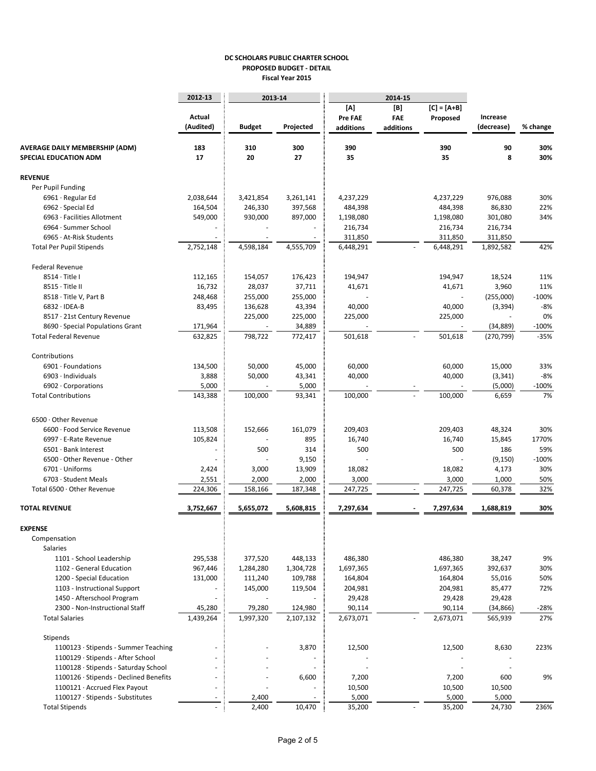## **DC SCHOLARS PUBLIC CHARTER SCHOOL PROPOSED BUDGET - DETAIL Fiscal Year 2015**

|                                        | 2012-13   | 2013-14       |                          | 2014-15             |           |                     |                      |             |
|----------------------------------------|-----------|---------------|--------------------------|---------------------|-----------|---------------------|----------------------|-------------|
|                                        | Actual    |               |                          | [A]                 | [B]       | $[C] = [A+B]$       |                      |             |
|                                        |           |               |                          | <b>Pre FAE</b>      | FAE       | Proposed            | Increase             |             |
|                                        | (Audited) | <b>Budget</b> | Projected                | additions           | additions |                     | (decrease)           | % change    |
| <b>AVERAGE DAILY MEMBERSHIP (ADM)</b>  | 183       | 310           | 300                      | 390                 |           | 390                 | 90                   | 30%         |
| SPECIAL EDUCATION ADM                  | 17        | 20            | 27                       | 35                  |           | 35                  | 8                    | 30%         |
| <b>REVENUE</b>                         |           |               |                          |                     |           |                     |                      |             |
| Per Pupil Funding                      |           |               |                          |                     |           |                     |                      |             |
| 6961 · Regular Ed                      | 2,038,644 | 3,421,854     | 3,261,141                | 4,237,229           |           | 4,237,229           | 976,088              | 30%         |
| 6962 · Special Ed                      | 164,504   | 246,330       | 397,568                  | 484,398             |           | 484,398             | 86,830               | 22%         |
| 6963 · Facilities Allotment            | 549,000   | 930,000       | 897,000                  | 1,198,080           |           | 1,198,080           | 301,080              | 34%         |
| 6964 · Summer School                   |           |               |                          | 216,734             |           | 216,734             | 216,734              |             |
| 6965 · At-Risk Students                |           |               |                          | 311,850             |           | 311,850             | 311,850              |             |
| <b>Total Per Pupil Stipends</b>        | 2,752,148 | 4,598,184     | 4,555,709                | 6,448,291           |           | 6,448,291           | 1,892,582            | 42%         |
| <b>Federal Revenue</b>                 |           |               |                          |                     |           |                     |                      |             |
| 8514 · Title I                         | 112,165   | 154,057       | 176,423                  | 194,947             |           | 194,947             | 18,524               | 11%         |
| 8515 Title II                          | 16,732    | 28,037        | 37,711                   | 41,671              |           | 41,671              | 3,960                | 11%         |
| 8518 · Title V, Part B                 | 248,468   | 255,000       | 255,000                  |                     |           |                     | (255,000)            | $-100%$     |
| $6832 \cdot IDEA-B$                    | 83,495    | 136,628       | 43,394                   | 40,000              |           | 40,000              | (3, 394)             | -8%         |
| 8517 · 21st Century Revenue            |           | 225,000       | 225,000                  | 225,000             |           | 225,000             |                      | 0%          |
| 8690 · Special Populations Grant       | 171,964   |               | 34,889                   |                     |           |                     | (34,889)             | $-100%$     |
| <b>Total Federal Revenue</b>           | 632,825   | 798,722       | 772,417                  | 501,618             |           | 501,618             | (270, 799)           | $-35%$      |
| Contributions                          |           |               |                          |                     |           |                     |                      |             |
| 6901 · Foundations                     | 134,500   | 50,000        | 45,000                   | 60,000              |           | 60,000              | 15,000               | 33%         |
| 6903 · Individuals                     | 3,888     | 50,000        | 43,341                   | 40,000              |           | 40,000              | (3, 341)             | $-8%$       |
| 6902 Corporations                      | 5,000     |               | 5,000                    |                     |           |                     | (5,000)              | $-100%$     |
| <b>Total Contributions</b>             | 143,388   | 100,000       | 93,341                   | 100,000             |           | 100,000             | 6,659                | 7%          |
| 6500 · Other Revenue                   |           |               |                          |                     |           |                     |                      |             |
| 6600 · Food Service Revenue            | 113,508   | 152,666       | 161,079                  | 209,403             |           | 209,403             | 48,324               | 30%         |
| 6997 · E-Rate Revenue                  | 105,824   |               | 895                      | 16,740              |           | 16,740              | 15,845               | 1770%       |
| 6501 · Bank Interest                   |           | 500           | 314                      | 500                 |           | 500                 | 186                  | 59%         |
| 6500 · Other Revenue - Other           |           |               | 9,150                    |                     |           |                     | (9, 150)             | $-100%$     |
| 6701 · Uniforms                        | 2,424     | 3,000         | 13,909                   | 18,082              |           | 18,082              | 4,173                | 30%         |
| 6703 · Student Meals                   | 2,551     | 2,000         | 2,000                    | 3,000               |           | 3,000               | 1,000                | 50%         |
| Total 6500 · Other Revenue             | 224,306   | 158,166       | 187,348                  | 247,725             | ×.        | 247,725             | 60,378               | 32%         |
| <b>TOTAL REVENUE</b>                   | 3,752,667 | 5,655,072     | 5,608,815                | 7,297,634           |           | 7,297,634           | 1,688,819            | 30%         |
|                                        |           |               |                          |                     |           |                     |                      |             |
| <b>EXPENSE</b>                         |           |               |                          |                     |           |                     |                      |             |
| Compensation<br><b>Salaries</b>        |           |               |                          |                     |           |                     |                      |             |
| 1101 - School Leadership               | 295,538   | 377,520       | 448,133                  | 486,380             |           | 486,380             | 38,247               | 9%          |
| 1102 - General Education               | 967,446   | 1,284,280     | 1,304,728                | 1,697,365           |           | 1,697,365           | 392,637              | 30%         |
| 1200 - Special Education               | 131,000   | 111,240       | 109,788                  | 164,804             |           | 164,804             | 55,016               | 50%         |
| 1103 - Instructional Support           |           |               | 119,504                  |                     |           |                     |                      |             |
| 1450 - Afterschool Program             |           | 145,000       |                          | 204,981<br>29,428   |           | 204,981<br>29,428   | 85,477<br>29,428     | 72%         |
| 2300 - Non-Instructional Staff         | 45,280    | 79,280        | 124,980                  |                     |           |                     |                      |             |
| <b>Total Salaries</b>                  | 1,439,264 | 1,997,320     | 2,107,132                | 90,114<br>2,673,071 |           | 90,114<br>2,673,071 | (34, 866)<br>565,939 | -28%<br>27% |
|                                        |           |               |                          |                     |           |                     |                      |             |
| Stipends                               |           |               |                          |                     |           |                     |                      |             |
| 1100123 · Stipends - Summer Teaching   |           |               | 3,870                    | 12,500              |           | 12,500              | 8,630                | 223%        |
| 1100129 · Stipends - After School      |           |               |                          |                     |           |                     |                      |             |
| 1100128 · Stipends - Saturday School   |           |               | $\sim$                   |                     |           |                     |                      |             |
| 1100126 · Stipends - Declined Benefits |           |               | 6,600                    | 7,200               |           | 7,200               | 600                  | 9%          |
| 1100121 · Accrued Flex Payout          |           |               |                          | 10,500              |           | 10,500              | 10,500               |             |
| 1100127 · Stipends - Substitutes       | ٠         | 2,400         | $\overline{\phantom{a}}$ | 5,000               |           | 5,000               | 5,000                |             |
| <b>Total Stipends</b>                  | ÷.        | 2,400         | 10,470                   | 35,200              | $\sim$    | 35,200              | 24,730               | 236%        |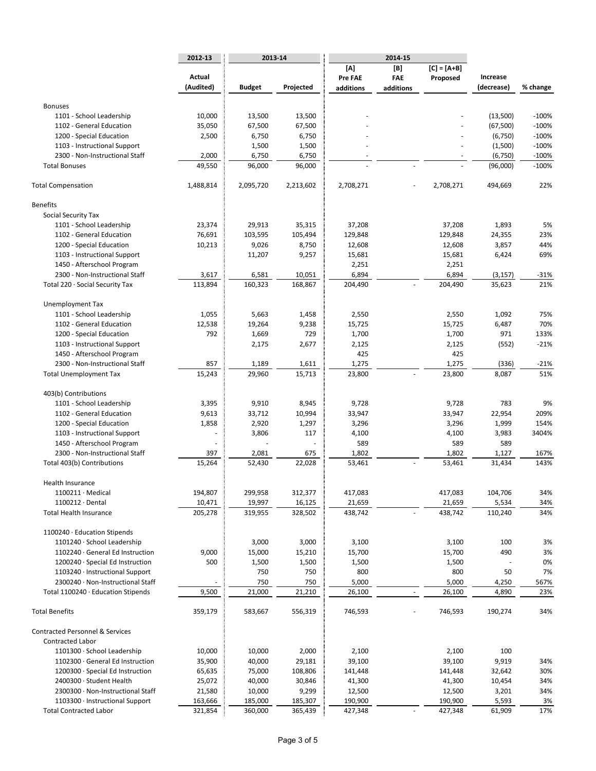|                                            | 2012-13   | 2013-14       |           | 2014-15                  |           |               |            |          |
|--------------------------------------------|-----------|---------------|-----------|--------------------------|-----------|---------------|------------|----------|
|                                            |           |               |           | [A]                      | [B]       | $[C] = [A+B]$ |            |          |
|                                            | Actual    |               |           | Pre FAE                  | FAE       | Proposed      | Increase   |          |
|                                            | (Audited) | <b>Budget</b> | Projected | additions                | additions |               | (decrease) | % change |
|                                            |           |               |           |                          |           |               |            |          |
| <b>Bonuses</b>                             |           |               |           |                          |           |               |            |          |
| 1101 - School Leadership                   | 10,000    | 13,500        | 13,500    |                          |           |               | (13,500)   | $-100%$  |
| 1102 - General Education                   | 35,050    | 67,500        | 67,500    |                          |           |               | (67, 500)  | $-100%$  |
| 1200 - Special Education                   | 2,500     | 6,750         | 6,750     |                          |           |               | (6, 750)   | $-100%$  |
| 1103 - Instructional Support               |           | 1,500         | 1,500     |                          |           |               | (1,500)    | $-100%$  |
| 2300 - Non-Instructional Staff             | 2,000     | 6,750         | 6,750     | $\overline{\phantom{a}}$ |           |               | (6, 750)   | $-100%$  |
| <b>Total Bonuses</b>                       | 49,550    | 96,000        | 96,000    |                          |           |               | (96,000)   | $-100%$  |
| <b>Total Compensation</b>                  | 1,488,814 | 2,095,720     | 2,213,602 | 2,708,271                |           | 2,708,271     | 494,669    | 22%      |
| <b>Benefits</b>                            |           |               |           |                          |           |               |            |          |
| Social Security Tax                        |           |               |           |                          |           |               |            |          |
| 1101 - School Leadership                   | 23,374    | 29,913        | 35,315    | 37,208                   |           | 37,208        | 1,893      | 5%       |
| 1102 - General Education                   | 76,691    | 103,595       | 105,494   | 129,848                  |           | 129,848       | 24,355     | 23%      |
| 1200 - Special Education                   | 10,213    | 9,026         | 8,750     | 12,608                   |           | 12,608        | 3,857      | 44%      |
| 1103 - Instructional Support               |           | 11,207        | 9,257     | 15,681                   |           | 15,681        | 6,424      | 69%      |
| 1450 - Afterschool Program                 |           |               |           | 2,251                    |           | 2,251         |            |          |
| 2300 - Non-Instructional Staff             | 3,617     | 6,581         | 10,051    | 6,894                    |           | 6,894         | (3, 157)   | -31%     |
| Total 220 · Social Security Tax            | 113,894   | 160,323       | 168,867   | 204,490                  |           | 204,490       | 35,623     | 21%      |
| Unemployment Tax                           |           |               |           |                          |           |               |            |          |
| 1101 - School Leadership                   | 1,055     | 5,663         | 1,458     | 2,550                    |           | 2,550         | 1,092      | 75%      |
| 1102 - General Education                   | 12,538    | 19,264        | 9,238     | 15,725                   |           | 15,725        | 6,487      | 70%      |
| 1200 - Special Education                   | 792       | 1,669         | 729       | 1,700                    |           | 1,700         | 971        | 133%     |
| 1103 - Instructional Support               |           | 2,175         | 2,677     | 2,125                    |           | 2,125         | (552)      | $-21%$   |
| 1450 - Afterschool Program                 |           |               |           | 425                      |           | 425           |            |          |
| 2300 - Non-Instructional Staff             | 857       | 1,189         | 1,611     | 1,275                    |           | 1,275         | (336)      | -21%     |
| <b>Total Unemployment Tax</b>              | 15,243    | 29,960        | 15,713    | 23,800                   |           | 23,800        | 8,087      | 51%      |
|                                            |           |               |           |                          |           |               |            |          |
| 403(b) Contributions                       |           |               |           |                          |           |               |            |          |
| 1101 - School Leadership                   | 3,395     | 9,910         | 8,945     | 9,728                    |           | 9,728         | 783        | 9%       |
| 1102 - General Education                   | 9,613     | 33,712        | 10,994    | 33,947                   |           | 33,947        | 22,954     | 209%     |
| 1200 - Special Education                   | 1,858     | 2,920         | 1,297     | 3,296                    |           | 3,296         | 1,999      | 154%     |
| 1103 - Instructional Support               |           | 3,806         | 117       | 4,100                    |           | 4,100         | 3,983      | 3404%    |
| 1450 - Afterschool Program                 |           |               |           | 589                      |           | 589           | 589        |          |
| 2300 - Non-Instructional Staff             | 397       | 2,081         | 675       | 1,802                    |           | 1,802         | 1,127      | 167%     |
| Total 403(b) Contributions                 | 15,264    | 52,430        | 22,028    | 53,461                   |           | 53,461        | 31,434     | 143%     |
| Health Insurance                           |           |               |           |                          |           |               |            |          |
| $1100211 \cdot Medical$                    | 194,807   | 299,958       | 312,377   | 417,083                  |           | 417,083       | 104,706    | 34%      |
| $1100212 \cdot \text{Dental}$              | 10,471    | 19,997        | 16,125    | 21,659                   |           | 21,659        | 5,534      | 34%      |
| <b>Total Health Insurance</b>              | 205,278   | 319,955       | 328,502   | 438,742                  |           | 438,742       | 110,240    | 34%      |
| 1100240 · Education Stipends               |           |               |           |                          |           |               |            |          |
| 1101240 · School Leadership                |           | 3,000         | 3,000     | 3,100                    |           | 3,100         | 100        | 3%       |
| 1102240 · General Ed Instruction           | 9,000     | 15,000        | 15,210    | 15,700                   |           | 15,700        | 490        | 3%       |
| 1200240 · Special Ed Instruction           | 500       | 1,500         | 1,500     | 1,500                    |           | 1,500         |            | 0%       |
| 1103240 · Instructional Support            |           | 750           | 750       | 800                      |           | 800           | 50         | 7%       |
| 2300240 · Non-Instructional Staff          |           | 750           | 750       | 5,000                    |           | 5,000         | 4,250      | 567%     |
| Total 1100240 · Education Stipends         | 9,500     | 21,000        | 21,210    | 26,100                   |           | 26,100        | 4,890      | 23%      |
| <b>Total Benefits</b>                      | 359,179   | 583,667       | 556,319   | 746,593                  |           | 746,593       | 190,274    | 34%      |
| <b>Contracted Personnel &amp; Services</b> |           |               |           |                          |           |               |            |          |
| Contracted Labor                           |           |               |           |                          |           |               |            |          |
| 1101300 · School Leadership                | 10,000    | 10,000        | 2,000     | 2,100                    |           | 2,100         | 100        |          |
| 1102300 · General Ed Instruction           | 35,900    | 40,000        | 29,181    | 39,100                   |           | 39,100        | 9,919      | 34%      |
| 1200300 · Special Ed Instruction           | 65,635    | 75,000        | 108,806   | 141,448                  |           | 141,448       | 32,642     | 30%      |
| 2400300 · Student Health                   | 25,072    | 40,000        | 30,846    | 41,300                   |           | 41,300        | 10,454     | 34%      |
| 2300300 · Non-Instructional Staff          | 21,580    | 10,000        | 9,299     | 12,500                   |           | 12,500        | 3,201      | 34%      |
| 1103300 · Instructional Support            | 163,666   | 185,000       | 185,307   | 190,900                  |           | 190,900       | 5,593      | 3%       |
| <b>Total Contracted Labor</b>              | 321,854   | 360,000       | 365,439   | 427,348                  |           | 427,348       | 61,909     | 17%      |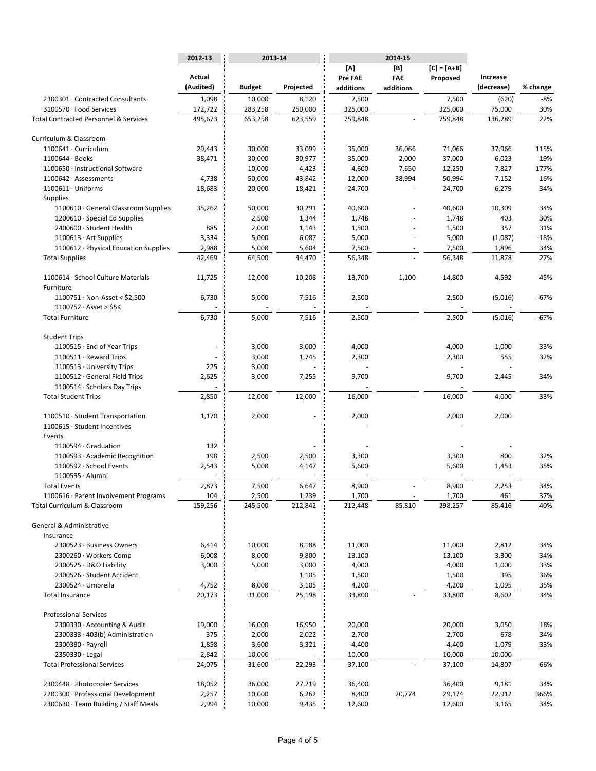|                                                                           | 2012-13   | 2013-14         |                 | 2014-15         |            |                 |               |          |
|---------------------------------------------------------------------------|-----------|-----------------|-----------------|-----------------|------------|-----------------|---------------|----------|
|                                                                           | Actual    |                 |                 | [A]             | [B]        | $[C] = [A+B]$   |               |          |
|                                                                           |           |                 |                 | Pre FAE         | <b>FAE</b> | Proposed        | Increase      |          |
|                                                                           | (Audited) | <b>Budget</b>   | Projected       | additions       | additions  |                 | (decrease)    | % change |
| 2300301 · Contracted Consultants                                          | 1,098     | 10,000          | 8,120           | 7,500           |            | 7,500           | (620)         | $-8%$    |
| 3100570 · Food Services                                                   | 172,722   | 283,258         | 250,000         | 325,000         |            | 325,000         | 75,000        | 30%      |
| <b>Total Contracted Personnel &amp; Services</b>                          | 495,673   | 653,258         | 623,559         | 759,848         |            | 759,848         | 136,289       | 22%      |
| Curriculum & Classroom                                                    |           |                 |                 |                 |            |                 |               |          |
| 1100641 · Curriculum                                                      | 29,443    | 30,000          | 33,099          | 35,000          | 36,066     | 71,066          | 37,966        | 115%     |
| 1100644 · Books                                                           | 38,471    | 30,000          | 30,977          | 35,000          | 2,000      | 37,000          | 6,023         | 19%      |
| 1100650 · Instructional Software                                          |           | 10,000          | 4,423           | 4,600           | 7,650      | 12,250          | 7,827         | 177%     |
| 1100642 · Assessments                                                     | 4,738     | 50,000          | 43,842          | 12,000          | 38,994     | 50,994          | 7,152         | 16%      |
| $1100611 \cdot$ Uniforms                                                  | 18,683    | 20,000          | 18,421          | 24,700          |            | 24,700          | 6,279         | 34%      |
| Supplies                                                                  |           |                 |                 |                 |            |                 |               | 34%      |
| 1100610 General Classroom Supplies<br>$1200610 \cdot$ Special Ed Supplies | 35,262    | 50,000<br>2,500 | 30,291<br>1,344 | 40,600<br>1,748 |            | 40,600<br>1,748 | 10,309<br>403 | 30%      |
| 2400600 · Student Health                                                  | 885       | 2,000           | 1,143           | 1,500           | ÷.         | 1,500           | 357           | 31%      |
| $1100613 \cdot$ Art Supplies                                              | 3,334     | 5,000           | 6,087           | 5,000           | $\sim$     | 5,000           | (1,087)       | $-18%$   |
| 1100612 · Physical Education Supplies                                     | 2,988     | 5,000           | 5,604           | 7,500           |            | 7,500           | 1,896         | 34%      |
| <b>Total Supplies</b>                                                     | 42,469    | 64,500          | 44,470          | 56,348          |            | 56,348          | 11,878        | 27%      |
|                                                                           |           |                 |                 |                 |            |                 |               |          |
| 1100614 · School Culture Materials<br>Furniture                           | 11,725    | 12,000          | 10,208          | 13,700          | 1,100      | 14,800          | 4,592         | 45%      |
| $1100751 \cdot \text{Non-Asset} < $2,500$                                 | 6,730     | 5,000           | 7,516           | 2,500           |            | 2,500           | (5,016)       | $-67%$   |
| $1100752 \cdot$ Asset > \$5K                                              |           |                 |                 |                 |            |                 |               |          |
| <b>Total Furniture</b>                                                    | 6,730     | 5,000           | 7,516           | 2,500           |            | 2,500           | (5,016)       | $-67%$   |
| <b>Student Trips</b>                                                      |           |                 |                 |                 |            |                 |               |          |
| 1100515 · End of Year Trips                                               |           | 3,000           | 3,000           | 4,000           |            | 4,000           | 1,000         | 33%      |
| 1100511 · Reward Trips                                                    |           | 3,000           | 1,745           | 2,300           |            | 2,300           | 555           | 32%      |
| 1100513 · University Trips                                                | 225       | 3,000           |                 |                 |            |                 |               |          |
| 1100512 · General Field Trips                                             | 2,625     | 3,000           | 7,255           | 9,700           |            | 9,700           | 2,445         | 34%      |
| 1100514 · Scholars Day Trips                                              |           |                 |                 |                 |            |                 |               |          |
| <b>Total Student Trips</b>                                                | 2,850     | 12,000          | 12,000          | 16,000          |            | 16,000          | 4,000         | 33%      |
| 1100510 · Student Transportation                                          | 1,170     | 2,000           |                 | 2,000           |            | 2,000           | 2,000         |          |
| 1100615 · Student Incentives                                              |           |                 |                 |                 |            |                 |               |          |
| Events                                                                    |           |                 |                 |                 |            |                 |               |          |
| 1100594 · Graduation                                                      | 132       |                 |                 |                 |            |                 |               |          |
| 1100593 · Academic Recognition                                            | 198       | 2,500           | 2,500           | 3,300           |            | 3,300           | 800           | 32%      |
| 1100592 · School Events                                                   | 2,543     | 5,000           | 4,147           | 5,600           |            | 5,600           | 1,453         | 35%      |
| 1100595 · Alumni                                                          |           |                 |                 |                 |            |                 |               |          |
| <b>Total Events</b>                                                       | 2,873     | 7,500           | 6,647           | 8,900           |            | 8,900           | 2,253         | 34%      |
| 1100616 · Parent Involvement Programs                                     | 104       | 2,500           | 1,239           | 1,700           |            | 1,700           | 461           | 37%      |
| Total Curriculum & Classroom                                              | 159,256   | 245,500         | 212,842         | 212,448         | 85,810     | 298,257         | 85,416        | 40%      |
| General & Administrative                                                  |           |                 |                 |                 |            |                 |               |          |
| Insurance                                                                 |           |                 |                 |                 |            |                 |               |          |
| 2300523 · Business Owners                                                 | 6,414     | 10,000          | 8,188           | 11,000          |            | 11,000          | 2,812         | 34%      |
| 2300260 · Workers Comp                                                    | 6,008     | 8,000           | 9,800           | 13,100          |            | 13,100          | 3,300         | 34%      |
| 2300525 · D&O Liability                                                   | 3,000     | 5,000           | 3,000           | 4,000           |            | 4,000           | 1,000         | 33%      |
| 2300526 · Student Accident                                                |           |                 | 1,105           | 1,500           |            | 1,500           | 395           | 36%      |
| 2300524 · Umbrella                                                        | 4,752     | 8,000           | 3,105           | 4,200           |            | 4,200           | 1,095         | 35%      |
| <b>Total Insurance</b>                                                    | 20,173    | 31,000          | 25,198          | 33,800          |            | 33,800          | 8,602         | 34%      |
| <b>Professional Services</b>                                              |           |                 |                 |                 |            |                 |               |          |
| 2300330 · Accounting & Audit                                              | 19,000    | 16,000          | 16,950          | 20,000          |            | 20,000          | 3,050         | 18%      |
| $2300333 \cdot 403(b)$ Administration                                     | 375       | 2,000           | 2,022           | 2,700           |            | 2,700           | 678           | 34%      |
| 2300380 · Payroll                                                         | 1,858     | 3,600           | 3,321           | 4,400           |            | 4,400           | 1,079         | 33%      |
| 2350330 · Legal                                                           | 2,842     | 10,000          |                 | 10,000          |            | 10,000          | 10,000        |          |
| <b>Total Professional Services</b>                                        | 24,075    | 31,600          | 22,293          | 37,100          |            | 37,100          | 14,807        | 66%      |
| 2300448 · Photocopier Services                                            | 18,052    | 36,000          | 27,219          | 36,400          |            | 36,400          | 9,181         | 34%      |
| 2200300 · Professional Development                                        | 2,257     | 10,000          | 6,262           | 8,400           | 20,774     | 29,174          | 22,912        | 366%     |
| 2300630 · Team Building / Staff Meals                                     | 2,994     | 10,000          | 9,435           | 12,600          |            | 12,600          | 3,165         | 34%      |